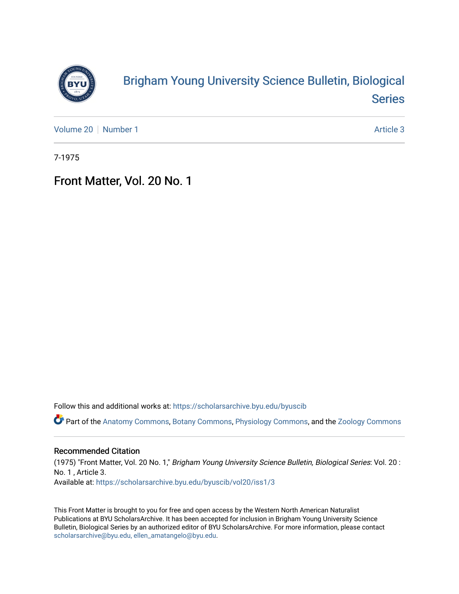

# [Brigham Young University Science Bulletin, Biological](https://scholarsarchive.byu.edu/byuscib)  [Series](https://scholarsarchive.byu.edu/byuscib)

[Volume 20](https://scholarsarchive.byu.edu/byuscib/vol20) [Number 1](https://scholarsarchive.byu.edu/byuscib/vol20/iss1) Article 3

7-1975

### Front Matter, Vol. 20 No. 1

Follow this and additional works at: [https://scholarsarchive.byu.edu/byuscib](https://scholarsarchive.byu.edu/byuscib?utm_source=scholarsarchive.byu.edu%2Fbyuscib%2Fvol20%2Fiss1%2F3&utm_medium=PDF&utm_campaign=PDFCoverPages)

Part of the [Anatomy Commons,](http://network.bepress.com/hgg/discipline/903?utm_source=scholarsarchive.byu.edu%2Fbyuscib%2Fvol20%2Fiss1%2F3&utm_medium=PDF&utm_campaign=PDFCoverPages) [Botany Commons,](http://network.bepress.com/hgg/discipline/104?utm_source=scholarsarchive.byu.edu%2Fbyuscib%2Fvol20%2Fiss1%2F3&utm_medium=PDF&utm_campaign=PDFCoverPages) [Physiology Commons,](http://network.bepress.com/hgg/discipline/69?utm_source=scholarsarchive.byu.edu%2Fbyuscib%2Fvol20%2Fiss1%2F3&utm_medium=PDF&utm_campaign=PDFCoverPages) and the [Zoology Commons](http://network.bepress.com/hgg/discipline/81?utm_source=scholarsarchive.byu.edu%2Fbyuscib%2Fvol20%2Fiss1%2F3&utm_medium=PDF&utm_campaign=PDFCoverPages)

#### Recommended Citation

(1975) "Front Matter, Vol. 20 No. 1," Brigham Young University Science Bulletin, Biological Series: Vol. 20 : No. 1 , Article 3. Available at: [https://scholarsarchive.byu.edu/byuscib/vol20/iss1/3](https://scholarsarchive.byu.edu/byuscib/vol20/iss1/3?utm_source=scholarsarchive.byu.edu%2Fbyuscib%2Fvol20%2Fiss1%2F3&utm_medium=PDF&utm_campaign=PDFCoverPages) 

This Front Matter is brought to you for free and open access by the Western North American Naturalist Publications at BYU ScholarsArchive. It has been accepted for inclusion in Brigham Young University Science Bulletin, Biological Series by an authorized editor of BYU ScholarsArchive. For more information, please contact [scholarsarchive@byu.edu, ellen\\_amatangelo@byu.edu](mailto:scholarsarchive@byu.edu,%20ellen_amatangelo@byu.edu).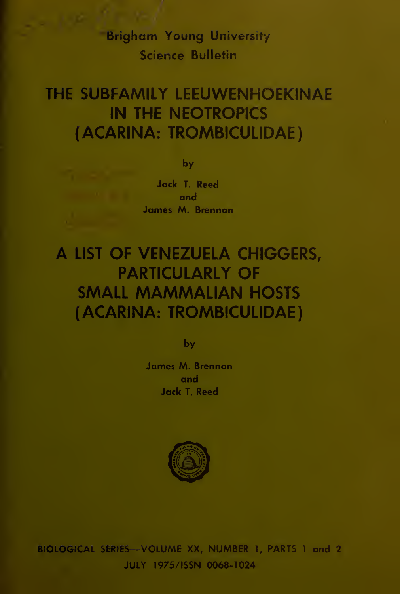Brigham Young University Science Bulletin

#### THE SUBFAMILY LEEUWENHOEKINAE IN THE NEOTROPICS (ACARINA: TROMBICULIDAE)

by

Jack T. Reed and James M. Brennan

## A LIST OF VENEZUELA CHIGGERS, PARTICULARLY OF SMALL MAMMALIAN HOSTS (ACARINA: TROMBICULIDAE)

by

James M. Brennan and Jack T. Reed



BIOLOGICAL SERIES—VOLUME XX, NUMBER 1, PARTS <sup>1</sup> and 2 JULY 1975/ISSN 0068-1024